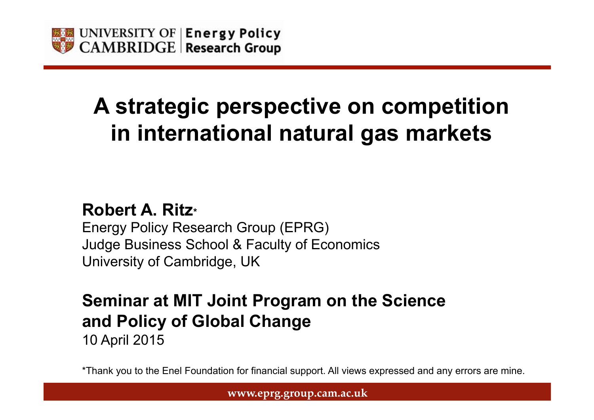

# **A strategic perspective on competition in international natural gas markets**

#### **Robert A. Ritz\***

Energy Policy Research Group (EPRG) Judge Business School & Faculty of Economics University of Cambridge, UK

### **Seminar at MIT Joint Program on the Science and Policy of Global Change**

10 April 2015

\*Thank you to the Enel Foundation for financial support. All views expressed and any errors are mine.

**www.eprg.group.cam.ac.uk**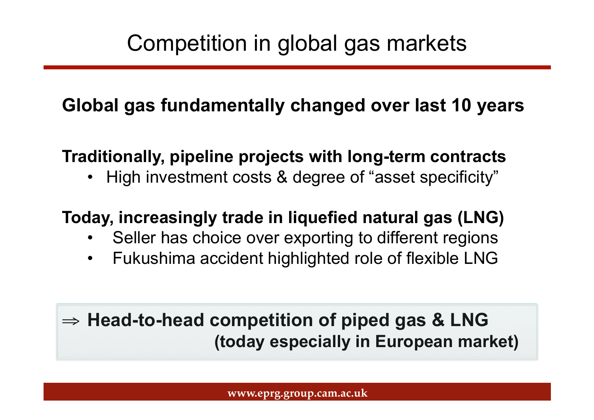### **Global gas fundamentally changed over last 10 years**

#### **Traditionally, pipeline projects with long-term contracts**

• High investment costs & degree of "asset specificity"

#### **Today, increasingly trade in liquefied natural gas (LNG)**

- Seller has choice over exporting to different regions
- Fukushima accident highlighted role of flexible LNG

### ⇒ **Head-to-head competition of piped gas & LNG (today especially in European market)**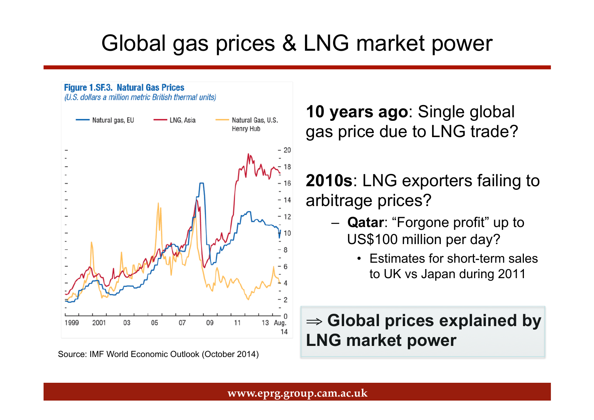# Global gas prices & LNG market power

**Figure 1.SF.3. Natural Gas Prices** (U.S. dollars a million metric British thermal units) Natural Gas, U.S. Natural gas, EU LNG, Asia Henry Hub 1999 2001 03 05 07 09 11 13 Aug. 14

Source: IMF World Economic Outlook (October 2014)

**10 years ago**: Single global gas price due to LNG trade?

**2010s**: LNG exporters failing to arbitrage prices?

- **Qatar**: "Forgone profit" up to US\$100 million per day?
	- Estimates for short-term sales to UK vs Japan during 2011

#### ⇒ **Global prices explained by LNG market power**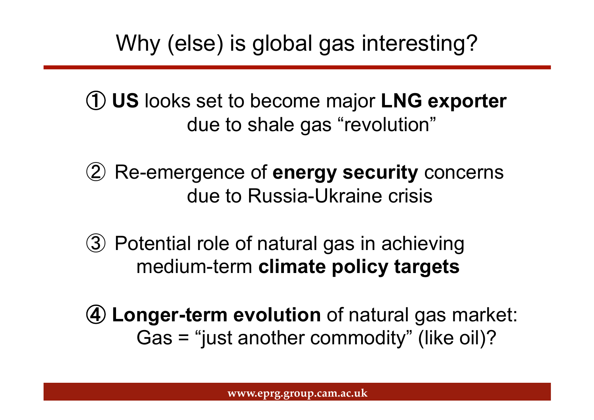Why (else) is global gas interesting?

① **US** looks set to become major **LNG exporter**  due to shale gas "revolution"

- ② Re-emergence of **energy security** concerns due to Russia-Ukraine crisis
- ③ Potential role of natural gas in achieving medium-term **climate policy targets**
- ④ **Longer-term evolution** of natural gas market: Gas = "just another commodity" (like oil)?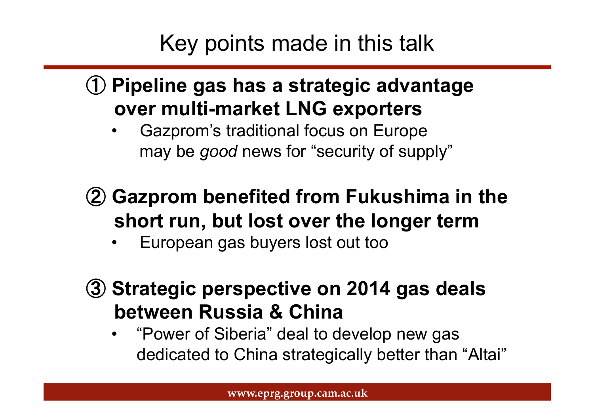# Key points made in this talk

## ① **Pipeline gas has a strategic advantage over multi-market LNG exporters**

• Gazprom's traditional focus on Europe may be *good* news for "security of supply"

## ② **Gazprom benefited from Fukushima in the short run, but lost over the longer term**

- European gas buyers lost out too
- ③ **Strategic perspective on 2014 gas deals between Russia & China** 
	- "Power of Siberia" deal to develop new gas dedicated to China strategically better than "Altai"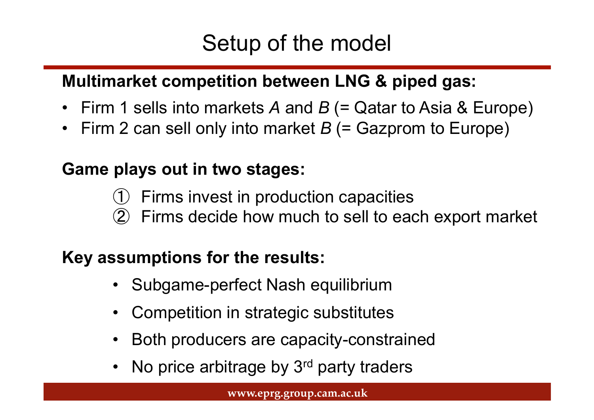# Setup of the model

#### **Multimarket competition between LNG & piped gas:**

- Firm 1 sells into markets *A* and *B* (= Qatar to Asia & Europe)
- Firm 2 can sell only into market *B* (= Gazprom to Europe)

#### **Game plays out in two stages:**

- Firms invest in production capacities
- Firms decide how much to sell to each export market

#### **Key assumptions for the results:**

- Subgame-perfect Nash equilibrium
- Competition in strategic substitutes
- Both producers are capacity-constrained
- No price arbitrage by 3<sup>rd</sup> party traders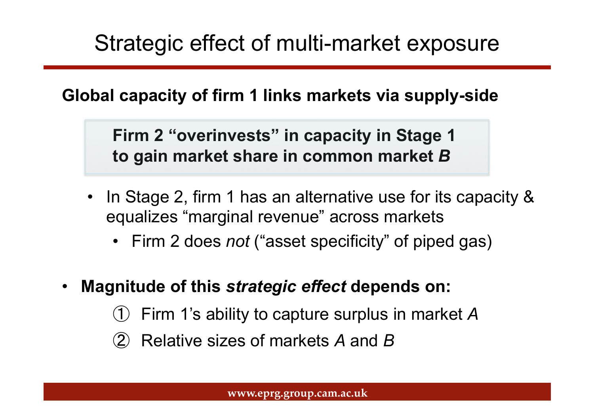## Strategic effect of multi-market exposure

#### **Global capacity of firm 1 links markets via supply-side**

**Firm 2 "overinvests" in capacity in Stage 1 to gain market share in common market** *B*

- In Stage 2, firm 1 has an alternative use for its capacity & equalizes "marginal revenue" across markets
	- Firm 2 does *not* ("asset specificity" of piped gas)
- **Magnitude of this** *strategic effect* **depends on:**
	- Firm 1's ability to capture surplus in market A
	- ② Relative sizes of markets *A* and *B*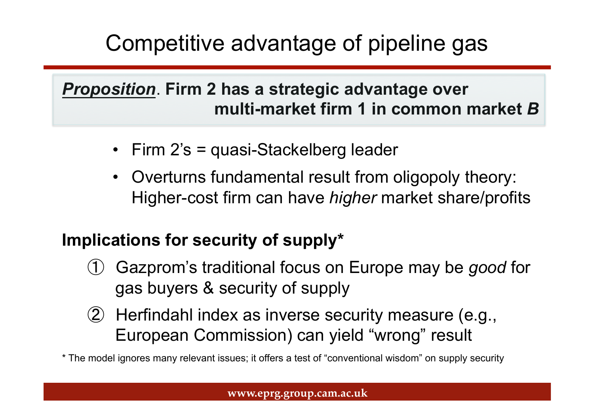# Competitive advantage of pipeline gas

#### *Proposition*. **Firm 2 has a strategic advantage over multi-market firm 1 in common market** *B*

- Firm 2's = quasi-Stackelberg leader
- Overturns fundamental result from oligopoly theory: Higher-cost firm can have *higher* market share/profits

#### **Implications for security of supply\***

- Gazprom's traditional focus on Europe may be *good* for gas buyers & security of supply
- ② Herfindahl index as inverse security measure (e.g., European Commission) can yield "wrong" result

\* The model ignores many relevant issues; it offers a test of "conventional wisdom" on supply security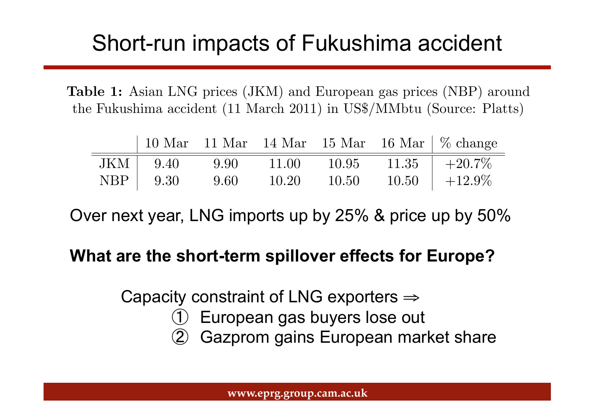#### Short-run impacts of Fukushima accident the spring of 2011 and pipeline imports, especially from Russia, subsequently Stion-run impac

Table 1: Asian LNG prices (JKM) and European gas prices (NBP) around the Fukushima accident (11 March 2011) in US\$/MMbtu (Source: Platts)

| $JKM$   $9.40$ | 9.90 | 11.00 | 10.95 | $11.35$   $+20.7\%$ |
|----------------|------|-------|-------|---------------------|
| $NBP$   $9.30$ | 9.60 | 10.20 | 10.50 | $10.50 + 12.9\%$    |

Over next year, LNG imports up by 25% & price up by 50%

#### **What are the short-term spillover effects for Europe?**

Capacity constraint of LNG exporters ⇒

- European gas buyers lose out
- Gazprom gains European market share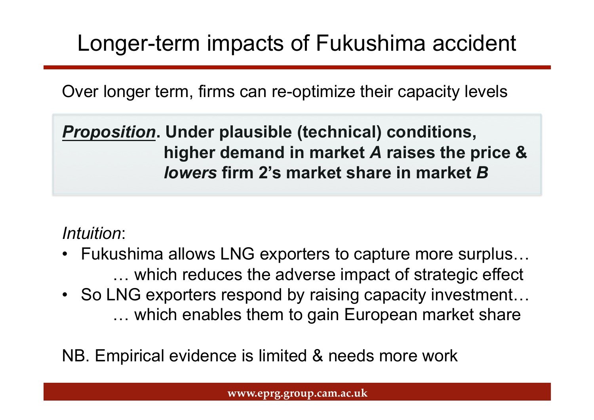# Longer-term impacts of Fukushima accident

Over longer term, firms can re-optimize their capacity levels

*Proposition***. Under plausible (technical) conditions, higher demand in market** *A* **raises the price &** *lowers* **firm 2's market share in market** *B*

*Intuition*:

- Fukushima allows LNG exporters to capture more surplus… … which reduces the adverse impact of strategic effect
- So LNG exporters respond by raising capacity investment... … which enables them to gain European market share

NB. Empirical evidence is limited & needs more work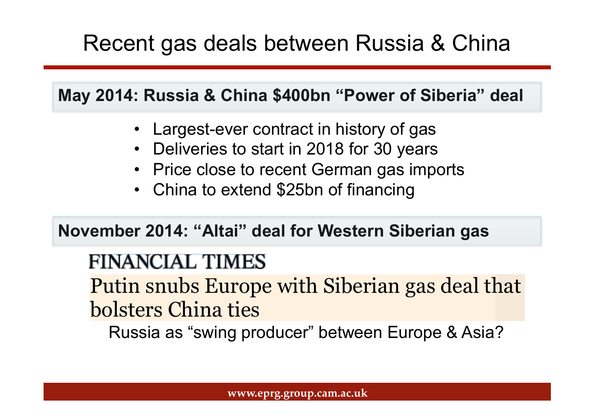# Recent gas deals between Russia & China

**May 2014: Russia & China \$400bn "Power of Siberia" deal** 

- Largest-ever contract in history of gas
- Deliveries to start in 2018 for 30 years
- Price close to recent German gas imports
- China to extend \$25bn of financing

**November 2014: "Altai" deal for Western Siberian gas** 

## **FINANCIAL TIMES**

Putin snubs Europe with Siberian gas deal that bolsters China ties with Siberian gas deal that Siberian gas deal that Siberian gas deal that Siberian gas de

Russia as "swing producer" between Europe & Asia?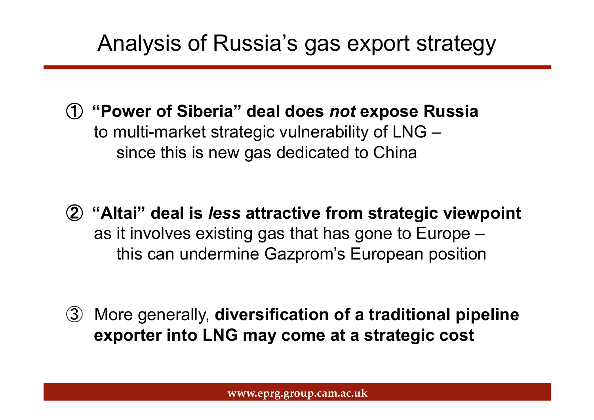## Analysis of Russia's gas export strategy

- ① **"Power of Siberia" deal does** *not* **expose Russia**  to multi-market strategic vulnerability of LNG – since this is new gas dedicated to China
- ② **"Altai" deal is** *less* **attractive from strategic viewpoint**  as it involves existing gas that has gone to Europe – this can undermine Gazprom's European position

③ More generally, **diversification of a traditional pipeline exporter into LNG may come at a strategic cost**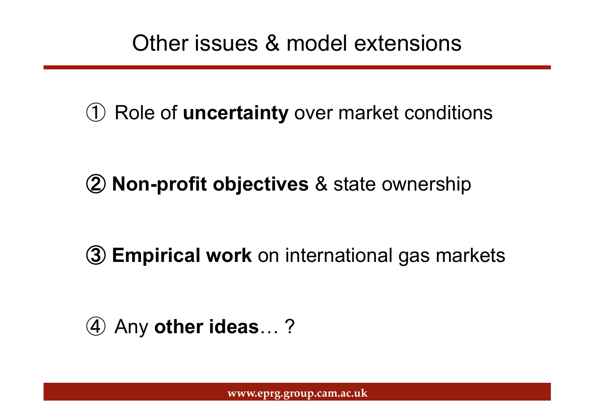## Other issues & model extensions

Role of **uncertainty** over market conditions

**Non-profit objectives** & state ownership

**Empirical work** on international gas markets

Any **other ideas**… ?